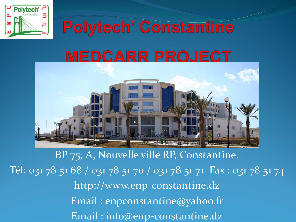

## **Polytech' Constantine**

### **MEDCARR PROJECT**



BP 75, A, Nouvelle ville RP, Constantine. Tél: 031 78 51 68 / 031 78 51 70 / 031 78 51 71 Fax : 031 78 51 74 http://www.enp-constantine.dz Email : enpconstantine@yahoo.fr Email : info@enp-constantine.dz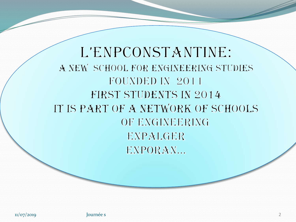L'ENPCONSTANTINE: A NEW SCHOOL FOR ENGINEERING STUDIES FOUNDED IN 2011 FIRST STUDENTS IN 2014 IT IS PART OF A NETWORK OF SCHOOLS OF ENGINEERING ENPALGER ENPORAN...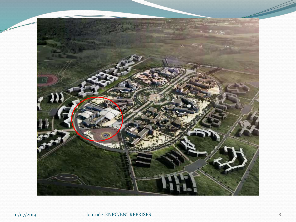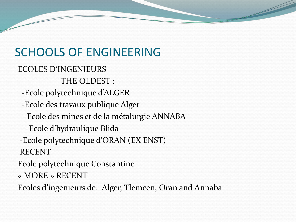#### SCHOOLS OF ENGINEERING

#### ECOLES D'INGENIEURS

#### THE OLDEST :

- -Ecole polytechnique d'ALGER
- -Ecole des travaux publique Alger
- -Ecole des mines et de la métalurgie ANNABA
- -Ecole d'hydraulique Blida
- -Ecole polytechnique d'ORAN (EX ENST) RECENT
- 
- Ecole polytechnique Constantine
- « MORE » RECENT
- Ecoles d'ingenieurs de: Alger, Tlemcen, Oran and Annaba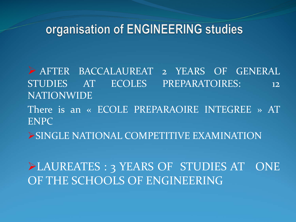#### organisation of ENGINEERING studies

Ø AFTER BACCALAUREAT 2 YEARS OF GENERAL STUDIES AT ECOLES PREPARATOIRES: 12 **NATIONWIDE** 

There is an « ECOLE PREPARAOIRE INTEGREE » AT ENPC

ØSINGLE NATIONAL COMPETITIVE EXAMINATION

ØLAUREATES : 3 YEARS OF STUDIES AT ONE OF THE SCHOOLS OF ENGINEERING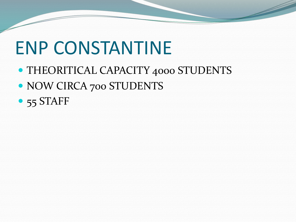## ENP CONSTANTINE

- THEORITICAL CAPACITY 4000 STUDENTS
- NOW CIRCA 700 STUDENTS
- 55 STAFF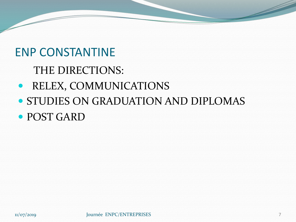#### ENP CONSTANTINE

THE DIRECTIONS:

- RELEX, COMMUNICATIONS
- **STUDIES ON GRADUATION AND DIPLOMAS**
- POST GARD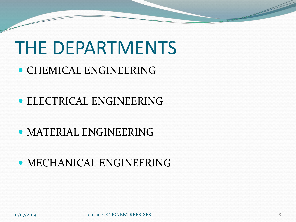## THE DEPARTMENTS

#### • CHEMICAL ENGINEERING

#### ELECTRICAL ENGINEERING

#### MATERIAL ENGINEERING

#### • MECHANICAL ENGINEERING

11/07/2019 Journée ENPC/ENTREPRISES 8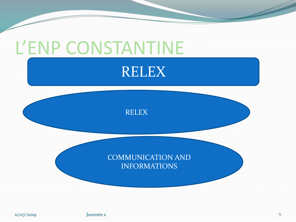## L'ENP CONSTANTINE

## RELEX

RELEX

COMMUNICATION AND INFORMATIONS

D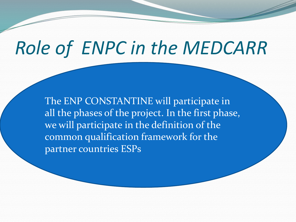The ENP CONSTANTINE will participate in all the phases of the project. In the first phase, we will participate in the definition of the common qualification framework for the partner countries ESPs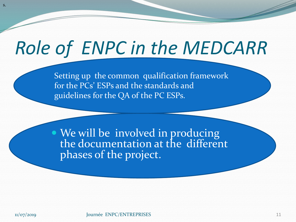Setting up the common qualification framework for the PCs' ESPs and the standards and guidelines for the QA of the PC ESPs.

 We will be involved in producing the documentation at the different phases of the project.

s.

11/07/2019 Journée ENPC/ENTREPRISES 11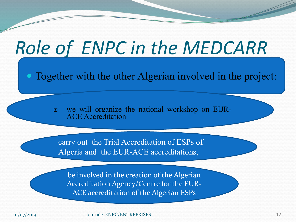Together with the other Algerian involved in the project:

¨ we will organize the national workshop on EUR- ACE Accreditation

carry out the Trial Accreditation of ESPs of Algeria and the EUR-ACE accreditations,

be involved in the creation of the Algerian Accreditation Agency/Centre for the EUR-ACE accreditation of the Algerian ESPs

11/07/2019 Journée ENPC/ENTREPRISES 12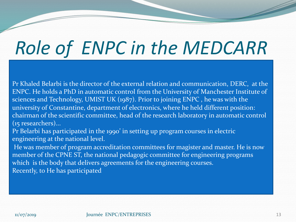Pr Khaled Belarbi is the director of the external relation and communication, DERC, at the ENPC. He holds a PhD in automatic control from the University of Manchester Institute of sciences and Technology, UMIST UK (1987). Prior to joining ENPC , he was with the university of Constantine, department of electronics, where he held different position: chairman of the scientific committee, head of the research laboratory in automatic control (15 researchers)...

Pr Belarbi has participated in the 1990' in setting up program courses in electric engineering at the national level.

He was member of program accreditation committees for magister and master. He is now member of the CPNE ST, the national pedagogic committee for engineering programs which is the body that delivers agreements for the engineering courses. Recently, to He has participated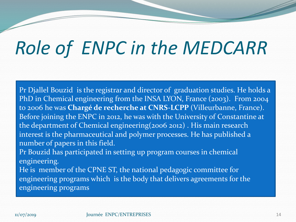Pr Djallel Bouzid is the registrar and director of graduation studies. He holds a PhD in Chemical engineering from the INSA LYON, France (2003). From 2004 to 2006 he was **Chargé de recherche at CNRS-LCPP** (Villeurbanne, France). Before joining the ENPC in 2012, he was with the University of Constantine at the department of Chemical engineering(2006 2012) . His main research interest is the pharmaceutical and polymer processes. He has published a number of papers in this field. Pr Bouzid has participated in setting up program courses in chemical engineering. He is member of the CPNE ST, the national pedagogic committee for engineering programs which is the body that delivers agreements for the engineering programs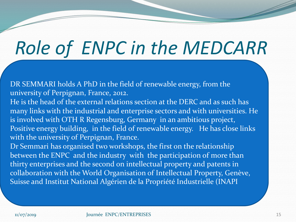DR SEMMARI holds A PhD in the field of renewable energy, from the university of Perpignan, France, 2012.

He is the head of the external relations section at the DERC and as such has many links with the industrial and enterprise sectors and with universities. He is involved with OTH R Regensburg, Germany in an ambitious project, Positive energy building, in the field of renewable energy. He has close links with the university of Perpignan, France.

Dr Semmari has organised two workshops, the first on the relationship between the ENPC and the industry with the participation of more than thirty enterprises and the second on intellectual property and patents in collaboration with the World Organisation of Intellectual Property, Genève, Suisse and Institut National Algérien de la Propriété Industrielle (INAPI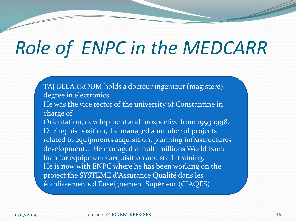TAJ BELAKROUM holds a docteur ingenieur (magistere) degree in electronics He was the vice rector of the university of Constantine in charge of Orientation, development and prospective from 1993 1998. During his position, he managed a number of projects related to equipments acquisition, planning infrastructures development... He managed a multi millions World Bank loan for equipments acquisition and staff training. He is now with ENPC where he has been working on the project the SYSTEME d'Assurance Qualité dans les établissements d'Enseignement Supérieur (CIAQES)